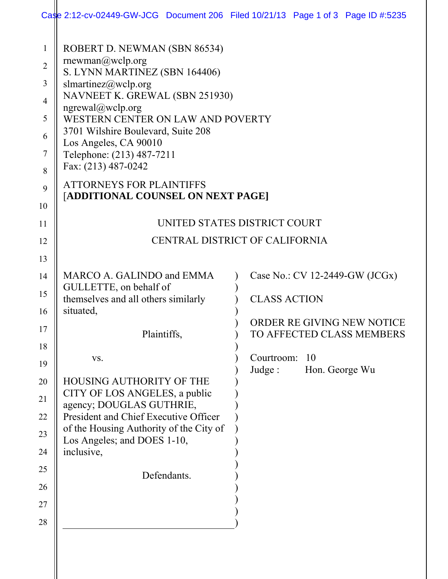|                                                                                      |                                                                                                                                                                                                                                                                                                                                                                                                | Case 2:12-cv-02449-GW-JCG Document 206 Filed 10/21/13 Page 1 of 3 Page ID #:5235 |
|--------------------------------------------------------------------------------------|------------------------------------------------------------------------------------------------------------------------------------------------------------------------------------------------------------------------------------------------------------------------------------------------------------------------------------------------------------------------------------------------|----------------------------------------------------------------------------------|
| $\mathbf{1}$<br>$\overline{2}$<br>3<br>$\overline{4}$<br>5<br>6<br>7<br>8<br>9<br>10 | ROBERT D. NEWMAN (SBN 86534)<br>rnewman@wclp.org<br>S. LYNN MARTINEZ (SBN 164406)<br>slmartinez@wclp.org<br>NAVNEET K. GREWAL (SBN 251930)<br>ngrewal@wclp.org<br>WESTERN CENTER ON LAW AND POVERTY<br>3701 Wilshire Boulevard, Suite 208<br>Los Angeles, CA 90010<br>Telephone: (213) 487-7211<br>Fax: (213) 487-0242<br><b>ATTORNEYS FOR PLAINTIFFS</b><br>[ADDITIONAL COUNSEL ON NEXT PAGE] |                                                                                  |
| 11                                                                                   |                                                                                                                                                                                                                                                                                                                                                                                                | UNITED STATES DISTRICT COURT                                                     |
| 12                                                                                   |                                                                                                                                                                                                                                                                                                                                                                                                | CENTRAL DISTRICT OF CALIFORNIA                                                   |
| 13                                                                                   |                                                                                                                                                                                                                                                                                                                                                                                                |                                                                                  |
| 14<br>15                                                                             | MARCO A. GALINDO and EMMA<br>GULLETTE, on behalf of<br>themselves and all others similarly<br>situated,                                                                                                                                                                                                                                                                                        | Case No.: CV 12-2449-GW (JCGx)<br><b>CLASS ACTION</b>                            |
| 16<br>17                                                                             | Plaintiffs,                                                                                                                                                                                                                                                                                                                                                                                    | ORDER RE GIVING NEW NOTICE<br>TO AFFECTED CLASS MEMBERS                          |
| 18<br>19                                                                             | VS.                                                                                                                                                                                                                                                                                                                                                                                            | Courtroom:<br>-10<br>Judge:<br>Hon. George Wu                                    |
| 20<br>21<br>22<br>23<br>24<br>25<br>26<br>27                                         | HOUSING AUTHORITY OF THE<br>CITY OF LOS ANGELES, a public<br>agency; DOUGLAS GUTHRIE,<br>President and Chief Executive Officer<br>of the Housing Authority of the City of<br>Los Angeles; and DOES 1-10,<br>inclusive,<br>Defendants.                                                                                                                                                          |                                                                                  |
| 28                                                                                   |                                                                                                                                                                                                                                                                                                                                                                                                |                                                                                  |
|                                                                                      |                                                                                                                                                                                                                                                                                                                                                                                                |                                                                                  |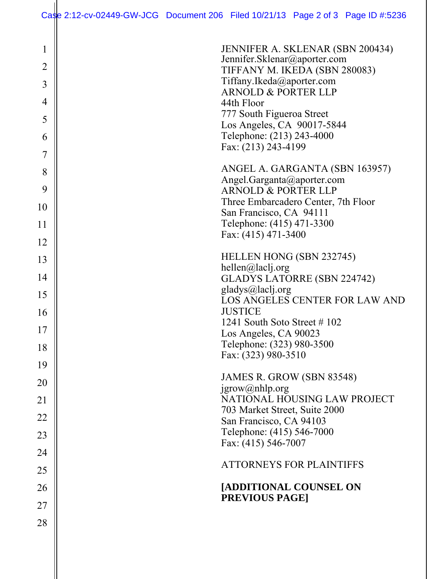| $\mathbf{1}$<br>$\overline{2}$<br>3<br>4<br>5<br>6 | JENNIFER A. SKLENAR (SBN 200434)<br>Jennifer.Sklenar@aporter.com<br>TIFFANY M. IKEDA (SBN 280083)<br>Tiffany.Ikeda@aporter.com<br><b>ARNOLD &amp; PORTER LLP</b><br>44th Floor<br>777 South Figueroa Street<br>Los Angeles, CA 90017-5844<br>Telephone: (213) 243-4000 |
|----------------------------------------------------|------------------------------------------------------------------------------------------------------------------------------------------------------------------------------------------------------------------------------------------------------------------------|
| 7                                                  | Fax: (213) 243-4199                                                                                                                                                                                                                                                    |
| 8<br>9                                             | ANGEL A. GARGANTA (SBN 163957)<br>Angel.Garganta@aporter.com<br><b>ARNOLD &amp; PORTER LLP</b>                                                                                                                                                                         |
| 10                                                 | Three Embarcadero Center, 7th Floor<br>San Francisco, CA 94111                                                                                                                                                                                                         |
| 11                                                 | Telephone: (415) 471-3300<br>Fax: (415) 471-3400                                                                                                                                                                                                                       |
| 12                                                 |                                                                                                                                                                                                                                                                        |
| 13                                                 | HELLEN HONG (SBN 232745)<br>hellen@laclj.org                                                                                                                                                                                                                           |
| 14                                                 | <b>GLADYS LATORRE (SBN 224742)</b>                                                                                                                                                                                                                                     |
| 15                                                 | gladys@laclj.org<br>LOS ANGELES CENTER FOR LAW AND                                                                                                                                                                                                                     |
| 16                                                 | <b>JUSTICE</b><br>1241 South Soto Street #102                                                                                                                                                                                                                          |
| 17                                                 | Los Angeles, CA 90023                                                                                                                                                                                                                                                  |
| 18                                                 | Telephone: (323) 980-3500<br>Fax: (323) 980-3510                                                                                                                                                                                                                       |
| 19                                                 | JAMES R. GROW (SBN 83548)                                                                                                                                                                                                                                              |
| 20                                                 | $jgrow(a)$ nhlp.org                                                                                                                                                                                                                                                    |
| 21                                                 | NATIONAL HOUSING LAW PROJECT<br>703 Market Street, Suite 2000                                                                                                                                                                                                          |
| 22                                                 | San Francisco, CA 94103                                                                                                                                                                                                                                                |
| 23                                                 | Telephone: (415) 546-7000<br>Fax: (415) 546-7007                                                                                                                                                                                                                       |
| 24                                                 | <b>ATTORNEYS FOR PLAINTIFFS</b>                                                                                                                                                                                                                                        |
| 25                                                 |                                                                                                                                                                                                                                                                        |
| 26                                                 | [ADDITIONAL COUNSEL ON<br><b>PREVIOUS PAGE]</b>                                                                                                                                                                                                                        |
| 27                                                 |                                                                                                                                                                                                                                                                        |
| 28                                                 |                                                                                                                                                                                                                                                                        |